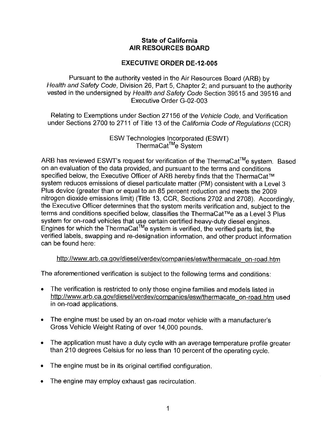## **State of California AIR RESOURCES BOARD**

## **EXECUTIVE ORDER DE-12-005**

Pursuant to the authority vested in the Air Resources Board (ARB) by Health and Safety Code, Division 26, Part 5, Chapter 2; and pursuant to the authority vested in the undersigned by Health and Safety Code Section 39515 and 39516 and Executive Order G-02-003

Relating to Exemptions under Section 27156 of the Vehicle Code, and Verification under Sections 2700 to 2711 of Title 13 of the California Code of Regulations (CCR)

> ESW Technologies Incorporated (ESWT) ThermaCat™e System

ARB has reviewed ESWT's request for verification of the ThermaCat<sup>™</sup>e system. Based on an evaluation of the data provided, and pursuant to the terms and conditions specified below, the Executive Officer of ARB hereby finds that the ThermaCat™ system reduces emissions of diesel particulate matter (PM) consistent with a Level 3 Plus device (greater than or equal to an 85 percent reduction and meets the 2009 nitrogen dioxide emissions limit) (Title 13, CCR, Sections 2702 and 2708). Accordingly, the Executive Officer determines that the system merits verification and, subject to the terms and conditions specified below, classifies the ThermaCat™e as a Level 3 Plus system for on-road vehicles that use certain certified heavy-duty diesel engines. Engines for which the ThermaCat<sup>™e</sup> system is verified, the verified parts list, the verified labels, swapping and re-designation information, and other product information can be found here:

## <http://www.arb.ca.gov/diesel/verdev/companies/esw/thermacate> on-road.him

The aforementioned verification is subject to the following terms and conditions:

- The verification is restricted to only those engine families and models listed in <http://www.arb.ca.gov/diesel/verdev/companies/esw/thermacate>on-road.him used in on-road applications.
- The engine must be used by an on-road motor vehicle with a manufacturer's Gross Vehicle Weight Rating of over 14,000 pounds.
- The application must have a duty cycle with an average temperature profile greater than 210 degrees Celsius for no less than 10 percent of the operating cycle.
- The engine must be in its original certified configuration.
- The engine may employ exhaust gas recirculation.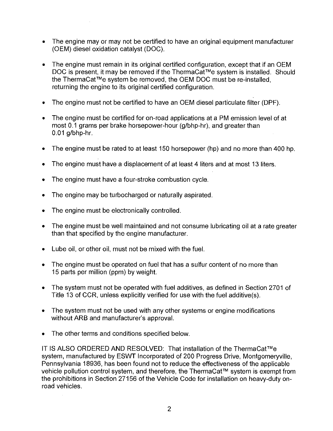- The engine may or may not be certified to have an original equipment manufacturer (OEM) diesel oxidation catalyst (DOC).
- The engine must remain in its original certified configuration, except that if an OEM DOC is present, it may be removed if the ThermaCat™e system is installed. Should the ThermaCat™e system be removed, the OEM DOC must be re-installed, returning the engine to its original certified configuration.
- The engine must not be certified to have an OEM diesel particulate filter (DPF).
- The engine must be certified for on-road applications at a PM emission level of at most 0.1 grams per brake horsepower-hour (g/bhp-hr), and greater than 0.01 g/bhp-hr.
- The engine must be rated to at least 150 horsepower (hp) and no more than 400 hp.
- The engine must have a displacement of at least 4 liters and at most 13 liters.
- The engine must have a four-stroke combustion cycle.
- The engine may be turbocharged or naturally aspirated.
- The engine must be electronically controlled.
- The engine must be well maintained and not consume lubricating oil at a rate greater than that specified by the engine manufacturer.
- Lube oil, or other oil, must not be mixed with the fuel.
- The engine must be operated on fuel that has a sulfur content of no more than 15 parts per million (ppm) by weight.
- The system must not be operated with fuel additives, as defined in Section 2701 of Title 13 of CCR, unless explicitly verified for use with the fuel additive(s).
- The system must not be used with any other systems or engine modifications without ARB and manufacturer's approval.
- The other terms and conditions specified below.

IT IS ALSO ORDERED AND RESOLVED: That installation of the ThermaCat™e system, manufactured by ESWT Incorporated of 200 Progress Drive, Montgomeryville, Pennsylvania 18936, has been found not to reduce the effectiveness of the applicable vehicle pollution control system, and therefore, the ThermaCat™ system is exempt from the prohibitions in Section 27156 of the Vehicle Code for installation on heavy-duty onroad vehicles.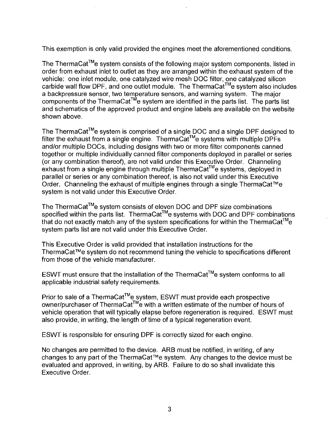This exemption is only valid provided the engines meet the aforementioned conditions.

The ThermaCat™e system consists of the following major system components, listed in order from exhaust inlet to outlet as they are arranged within the exhaust system of the vehicle: one inlet module, one catalyzed wire mesh DOC filter, one catalyzed silicon carbide wall flow DPF, and one outlet module. The ThermaCat™e system also includes a backpressure sensor, two temperature sensors, and warning system. The major components of the ThermaCat<sup>TM</sup>e system are identified in the parts list. The parts list and schematics of the approved product and engine labels are available on the website shown above.

The ThermaCat™e system is comprised of a single DOC and a single DPF designed to filter the exhaust from a single engine. ThermaCat™e systems with multiple DPFs and/or multiple DOCs, including designs with two or more filter components canned together or multiple individually canned filter components deployed in parallel or series (or any combination thereof), are not valid under this Executive Order. Channeling exhaust from a single engine through multiple ThermaCat™e systems, deployed in parallel or series or any combination thereof, is also not valid under this Executive Order. Channeling the exhaust of multiple engines through a single ThermaCat™e system is not valid under this Executive Order.

The ThermaCat™e system consists of eleven DOC and DPF size combinations specified within the parts list. ThermaCat™e systems with DOC and DPF combinations that do not exactly match any of the system specifications for within the ThermaCat<sup>™</sup>e system parts list are not valid under this Executive Order.

This Executive Order is valid provided that installation instructions for the ThermaCat™e system do not recommend tuning the vehicle to specifications different from those of the vehicle manufacturer.

ESWT must ensure that the installation of the ThermaCat™e system conforms to all applicable industrial safety requirements.

Prior to sale of a ThermaCat™e system, ESWT must provide each prospective owner/purchaser of ThermaCat™e with a written estimate of the number of hours of vehicle operation that will typically elapse before regeneration is required. ESWT must also provide, in writing, the length of time of a typical regeneration event.

ESWT is responsible for ensuring DPF is correctly sized for each engine.

No changes are permitted to the device. ARB must be notified, in writing, of any changes to any part of the ThermaCat™e system. Any changes to the device must be evaluated and approved, in writing, by ARB. Failure to do so shall invalidate this Executive Order.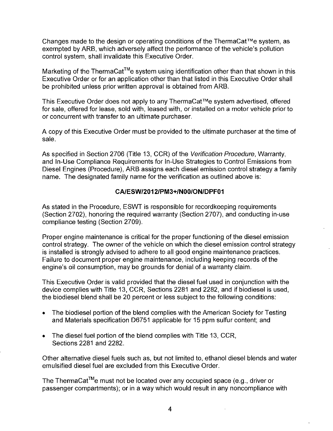Changes made to the design or operating conditions of the ThermaCat™e system, as exempted by ARB, which adversely affect the performance of the vehicle's pollution control system, shall invalidate this Executive Order.

Marketing of the ThermaCat™e system using identification other than that shown in this Executive Order or for an application other than that listed in this Executive Order shall be prohibited unless prior written approval is obtained from ARB.

This Executive Order does not apply to any ThermaCat™e system advertised, offered for sale, offered for lease, sold with, leased with, or installed on a motor vehicle prior to or concurrent with transfer to an ultimate purchaser.

A copy of this Executive Order must be provided to the ultimate purchaser at the time of sale.

As specified in Section 2706 (Title 13, CCR) of the Verification Procedure, Warranty, and In-Use Compliance Requirements for In-Use Strategies to Control Emissions from Diesel Engines (Procedure), ARB assigns each diesel emission control strategy a family name. The designated family name for the verification as outlined above is:

## **CA/ESW/2012/PM3+/N00/ON/DPF01**

As stated in the Procedure, ESWT is responsible for recordkeeping requirements (Section 2702), honoring the required warranty (Section 2707), and conducting in-use compliance testing (Section 2709).

Proper engine maintenance is critical for the proper functioning of the diesel emission control strategy. The owner of the vehicle on which the diesel emission control strategy is installed is strongly advised to adhere to all good engine maintenance practices. Failure to document proper engine maintenance, including keeping records of the engine's oil consumption, may be grounds for denial of a warranty claim.

This Executive Order is valid provided that the diesel fuel used in conjunction with the device complies with Title 13, CCR, Sections 2281 and 2282, and if biodiesel is used, the biodiesel blend shall be 20 percent or less subject to the following conditions:

- The biodiesel portion of the blend complies with the American Society for Testing and Materials specification D6751 applicable for 15 ppm sulfur content; and
- The diesel fuel portion of the blend complies with Title 13, CCR, Sections 2281 and 2282.

Other alternative diesel fuels such as, but not limited to, ethanol diesel blends and water emulsified diesel fuel are excluded from this Executive Order.

The ThermaCat<sup>™</sup>e must not be located over any occupied space (e.g., driver or passenger compartments); or in a way which would result in any noncompliance with